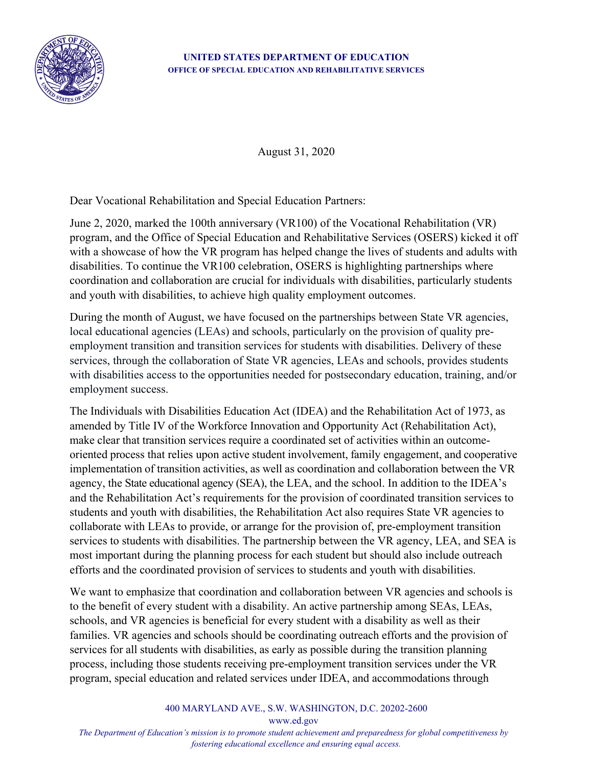

## **UNITED STATES DEPARTMENT OF EDUCATION OFFICE OF SPECIAL EDUCATION AND REHABILITATIVE SERVICES**

August 31, 2020

Dear Vocational Rehabilitation and Special Education Partners:

June 2, 2020, marked the 100th anniversary (VR100) of the Vocational Rehabilitation (VR) program, and the Office of Special Education and Rehabilitative Services (OSERS) kicked it off with a showcase of how the VR program has helped change the lives of students and adults with disabilities. To continue the VR100 celebration, OSERS is highlighting partnerships where coordination and collaboration are crucial for individuals with disabilities, particularly students and youth with disabilities, to achieve high quality employment outcomes.

During the month of August, we have focused on the partnerships between State VR agencies, local educational agencies (LEAs) and schools, particularly on the provision of quality preemployment transition and transition services for students with disabilities. Delivery of these services, through the collaboration of State VR agencies, LEAs and schools, provides students with disabilities access to the opportunities needed for postsecondary education, training, and/or employment success.

The Individuals with Disabilities Education Act (IDEA) and the Rehabilitation Act of 1973, as amended by Title IV of the Workforce Innovation and Opportunity Act (Rehabilitation Act), make clear that transition services require a coordinated set of activities within an outcomeoriented process that relies upon active student involvement, family engagement, and cooperative implementation of transition activities, as well as coordination and collaboration between the VR agency, the State educational agency (SEA), the LEA, and the school. In addition to the IDEA's and the Rehabilitation Act's requirements for the provision of coordinated transition services to students and youth with disabilities, the Rehabilitation Act also requires State VR agencies to collaborate with LEAs to provide, or arrange for the provision of, pre-employment transition services to students with disabilities. The partnership between the VR agency, LEA, and SEA is most important during the planning process for each student but should also include outreach efforts and the coordinated provision of services to students and youth with disabilities.

We want to emphasize that coordination and collaboration between VR agencies and schools is to the benefit of every student with a disability. An active partnership among SEAs, LEAs, schools, and VR agencies is beneficial for every student with a disability as well as their families. VR agencies and schools should be coordinating outreach efforts and the provision of services for all students with disabilities, as early as possible during the transition planning process, including those students receiving pre-employment transition services under the VR program, special education and related services under IDEA, and accommodations through

> 400 MARYLAND AVE., S.W. WASHINGTON, D.C. 20202-2600 www.ed.gov

*The Department of Education's mission is to promote student achievement and preparedness for global competitiveness by fostering educational excellence and ensuring equal access.*